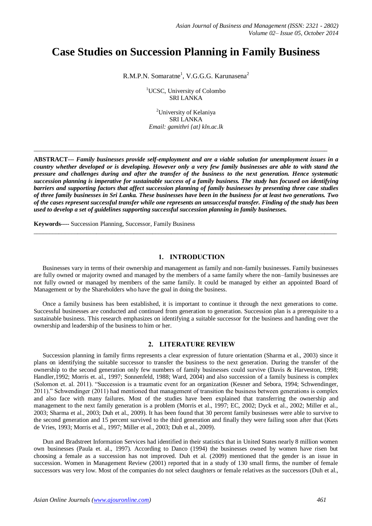# **Case Studies on Succession Planning in Family Business**

R.M.P.N. Somaratne<sup>1</sup>, V.G.G.G. Karunasena<sup>2</sup>

<sup>1</sup>UCSC, University of Colombo SRI LANKA

<sup>2</sup>University of Kelaniya SRI LANKA *Email: gamithri {at} kln.ac.lk*

 $\_$  ,  $\_$  ,  $\_$  ,  $\_$  ,  $\_$  ,  $\_$  ,  $\_$  ,  $\_$  ,  $\_$  ,  $\_$  ,  $\_$  ,  $\_$  ,  $\_$  ,  $\_$  ,  $\_$  ,  $\_$  ,  $\_$  ,  $\_$  ,  $\_$  ,  $\_$  ,  $\_$  ,  $\_$  ,  $\_$  ,  $\_$  ,  $\_$  ,  $\_$  ,  $\_$  ,  $\_$  ,  $\_$  ,  $\_$  ,  $\_$  ,  $\_$  ,  $\_$  ,  $\_$  ,  $\_$  ,  $\_$  ,  $\_$  ,

**ABSTRACT---** *Family businesses provide self-employment and are a viable solution for unemployment issues in a country whether developed or is developing. However only a very few family businesses are able to with stand the pressure and challenges during and after the transfer of the business to the next generation. Hence systematic succession planning is imperative for sustainable success of a family business. The study has focused on identifying barriers and supporting factors that affect succession planning of family businesses by presenting three case studies of three family businesses in Sri Lanka. These businesses have been in the business for at least two generations. Two of the cases represent successful transfer while one represents an unsuccessful transfer. Finding of the study has been used to develop a set of guidelines supporting successful succession planning in family businesses.*

 $\_$  ,  $\_$  ,  $\_$  ,  $\_$  ,  $\_$  ,  $\_$  ,  $\_$  ,  $\_$  ,  $\_$  ,  $\_$  ,  $\_$  ,  $\_$  ,  $\_$  ,  $\_$  ,  $\_$  ,  $\_$  ,  $\_$  ,  $\_$  ,  $\_$  ,  $\_$  ,  $\_$  ,  $\_$  ,  $\_$  ,  $\_$  ,  $\_$  ,  $\_$  ,  $\_$  ,  $\_$  ,  $\_$  ,  $\_$  ,  $\_$  ,  $\_$  ,  $\_$  ,  $\_$  ,  $\_$  ,  $\_$  ,  $\_$  ,

**Keywords----** Succession Planning, Successor, Family Business

## **1. INTRODUCTION**

Businesses vary in terms of their ownership and management as family and non-family businesses. Family businesses are fully owned or majority owned and managed by the members of a same family where the non–family businesses are not fully owned or managed by members of the same family. It could be managed by either an appointed Board of Management or by the Shareholders who have the goal in doing the business.

Once a family business has been established, it is important to continue it through the next generations to come. Successful businesses are conducted and continued from generation to generation. Succession plan is a prerequisite to a sustainable business. This research emphasizes on identifying a suitable successor for the business and handing over the ownership and leadership of the business to him or her.

## **2. LITERATURE REVIEW**

Succession planning in family firms represents a clear expression of future orientation (Sharma et al., 2003) since it plans on identifying the suitable successor to transfer the business to the next generation. During the transfer of the ownership to the second generation only few numbers of family businesses could survive (Davis & Harveston, 1998; Handler,1992; Morris et. al., 1997; Sonnenfeld, 1988; Ward, 2004) and also succession of a family business is complex (Solomon et. al. 2011). "Succession is a traumatic event for an organization (Kesner and Sebora, 1994; Schwendinger, 2011)." Schwendinger (2011) had mentioned that management of transition the business between generations is complex and also face with many failures. Most of the studies have been explained that transferring the ownership and management to the next family generation is a problem (Morris et al., 1997; EC, 2002; Dyck et al., 2002; Miller et al., 2003; Sharma et al., 2003; Duh et al., 2009). It has been found that 30 percent family businesses were able to survive to the second generation and 15 percent survived to the third generation and finally they were failing soon after that (Kets de Vries, 1993; Morris et al., 1997; Miller et al., 2003; Duh et al., 2009).

Dun and Bradstreet Information Services had identified in their statistics that in United States nearly 8 million women own businesses (Paula et. al., 1997). According to Danco (1994) the businesses owned by women have risen but choosing a female as a succession has not improved. Duh et al. (2009) mentioned that the gender is an issue in succession. Women in Management Review (2001) reported that in a study of 130 small firms, the number of female successors was very low. Most of the companies do not select daughters or female relatives as the successors (Duh et al.,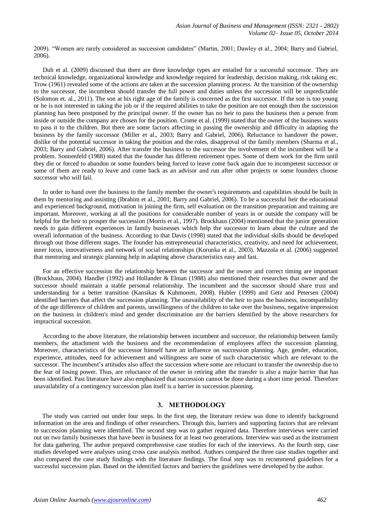2009). "Women are rarely considered as succession candidates" (Martin, 2001; Dawley et al., 2004; Barry and Gabriel, 2006).

Duh et al. (2009) discussed that there are three knowledge types are entailed for a successful successor. They are technical knowledge, organizational knowledge and knowledge required for leadership, decision making, risk taking etc. Trow (1961) revealed some of the actions are taken at the succession planning process. At the transition of the ownership to the successor, the incumbent should transfer the full power and duties unless the succession will be unpredictable (Solomon et. al., 2011). The son at his right age of the family is concerned as the first successor. If the son is too young or he is not interested in taking the job or if the required abilities to take the position are not enough then the succession planning has been postponed by the principal owner. If the owner has no heir to pass the business then a person from inside or outside the company are chosen for the position. Crome et al. (1999) stated that the owner of the business wants to pass it to the children. But there are some factors affecting in passing the ownership and difficulty in adapting the business by the family successor (Miller et al., 2003; Barry and Gabriel, 2006). Reluctance to handover the power, dislike of the potential successor in taking the position and the roles, disapproval of the family members (Sharma et al., 2003; Barry and Gabriel, 2006). After transfer the business to the successor the involvement of the incumbent will be a problem. Sonnenfeld (1988) stated that the founder has different retirement types. Some of them work for the firm until they die or forced to abandon or some founders being forced to leave come back again due to incompetent successor or some of them are ready to leave and come back as an advisor and run after other projects or some founders choose successor who will fail.

In order to hand over the business to the family member the owner's requirements and capabilities should be built in them by mentoring and assisting (Ibrahim et al., 2001; Barry and Gabriel, 2006). To be a successful heir the educational and experienced background, motivation in joining the firm, self evaluation on the transition preparation and training are important. Moreover, working at all the positions for considerable number of years in or outside the company will be helpful for the heir to prosper the succession (Morris et al., 1997). Brockhaus (2004) mentioned that the junior generation needs to gain different experiences in family businesses which help the successor to learn about the culture and the overall information of the business. According to that Davis (1998) stated that the individual skills should be developed through out those different stages. The founder has entrepreneurial characteristics, creativity, and need for achievement, inner locus, innovativeness and network of social relationships (Korunka et al., 2003). Mazzola et al. (2006) suggested that mentoring and strategic planning help in adapting above characteristics easy and fast.

For an effective succession the relationship between the successor and the owner and correct timing are important (Brockhaus, 2004). Handler (1992) and Hollander & Elman (1988) also mentioned their researches that owner and the successor should maintain a stable personal relationship. The incumbent and the successor should share trust and understanding for a better transition (Kansikas & Kuhmonen, 2008). Hubler (1999) and Getz and Petersen (2004) identified barriers that affect the succession planning. The unavailability of the heir to pass the business, incompatibility of the age difference of children and parents, unwillingness of the children to take over the business, negative impression on the business in children's mind and gender discrimination are the barriers identified by the above researchers for impractical succession.

According to the above literature, the relationship between incumbent and successor, the relationship between family members, the attachment with the business and the recommendation of employees affect the succession planning. Moreover, characteristics of the successor himself have an influence on succession planning. Age, gender, education, experience, attitudes, need for achievement and willingness are some of such characteristic which are relevant to the successor. The incumbent's attitudes also affect the succession where some are reluctant to transfer the ownership due to the fear of losing power. Thus, are reluctance of the owner in retiring after the transfer is also a major barrier that has been identified. Past literature have also emphasized that succession cannot be done during a short time period. Therefore unavailability of a contingency succession plan itself is a barrier in succession planning.

## **3. METHODOLOGY**

The study was carried out under four steps. In the first step, the literature review was done to identify background information on the area and findings of other researchers. Through this, barriers and supporting factors that are relevant to succession planning were identified. The second step was to gather required data. Therefore interviews were carried out on two family businesses that have been in business for at least two generations. Interview was used as the instrument for data gathering. The author prepared comprehensive case studies for each of the interviews. As the fourth step, case studies developed were analyses using cross case analysis method. Authors compared the three case studies together and also compared the case study findings with the literature findings. The final step was to recommend guidelines for a successful succession plan. Based on the identified factors and barriers the guidelines were developed by the author.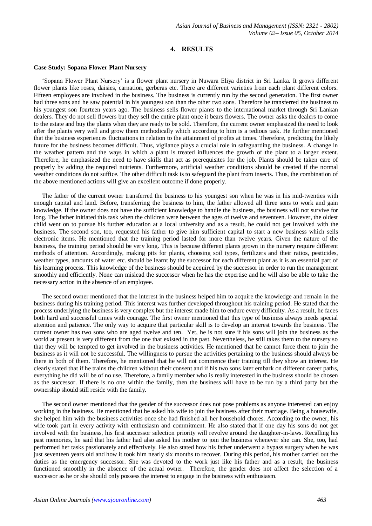# **4. RESULTS**

#### **Case Study: Sopana Flower Plant Nursery**

'Sopana Flower Plant Nursery' is a flower plant nursery in Nuwara Eliya district in Sri Lanka. It grows different flower plants like roses, daisies, carnation, gerberas etc. There are different varieties from each plant different colors. Fifteen employees are involved in the business. The business is currently run by the second generation. The first owner had three sons and he saw potential in his youngest son than the other two sons. Therefore he transferred the business to his youngest son fourteen years ago. The business sells flower plants to the international market through Sri Lankan dealers. They do not sell flowers but they sell the entire plant once it bears flowers. The owner asks the dealers to come to the estate and buy the plants when they are ready to be sold. Therefore, the current owner emphasized the need to look after the plants very well and grow them methodically which according to him is a tedious task. He further mentioned that the business experiences fluctuations in relation to the attainment of profits at times. Therefore, predicting the likely future for the business becomes difficult. Thus, vigilance plays a crucial role in safeguarding the business. A change in the weather pattern and the ways in which a plant is treated influences the growth of the plant to a larger extent. Therefore, he emphasized the need to have skills that act as prerequisites for the job. Plants should be taken care of properly by adding the required nutrients. Furthermore, artificial weather conditions should be created if the normal weather conditions do not suffice. The other difficult task is to safeguard the plant from insects. Thus, the combination of the above mentioned actions will give an excellent outcome if done properly.

The father of the current owner transferred the business to his youngest son when he was in his mid-twenties with enough capital and land. Before, transferring the business to him, the father allowed all three sons to work and gain knowledge. If the owner does not have the sufficient knowledge to handle the business, the business will not survive for long. The father initiated this task when the children were between the ages of twelve and seventeen. However, the oldest child went on to pursue his further education at a local university and as a result, he could not get involved with the business. The second son, too, requested his father to give him sufficient capital to start a new business which sells electronic items. He mentioned that the training period lasted for more than twelve years. Given the nature of the business, the training period should be very long. This is because different plants grown in the nursery require different methods of attention. Accordingly, making pits for plants, choosing soil types, fertilizers and their ratios, pesticides, weather types, amounts of water etc. should be learnt by the successor for each different plant as it is an essential part of his learning process. This knowledge of the business should be acquired by the successor in order to run the management smoothly and efficiently. None can mislead the successor when he has the expertise and he will also be able to take the necessary action in the absence of an employee.

The second owner mentioned that the interest in the business helped him to acquire the knowledge and remain in the business during his training period. This interest was further developed throughout his training period. He stated that the process underlying the business is very complex but the interest made him to endure every difficulty. As a result, he faces both hard and successful times with courage. The first owner mentioned that this type of business always needs special attention and patience. The only way to acquire that particular skill is to develop an interest towards the business. The current owner has two sons who are aged twelve and ten. Yet, he is not sure if his sons will join the business as the world at present is very different from the one that existed in the past. Nevertheless, he still takes them to the nursery so that they will be tempted to get involved in the business activities. He mentioned that he cannot force them to join the business as it will not be successful. The willingness to pursue the activities pertaining to the business should always be there in both of them. Therefore, he mentioned that he will not commence their training till they show an interest. He clearly stated that if he trains the children without their consent and if his two sons later embark on different career paths, everything he did will be of no use. Therefore, a family member who is really interested in the business should be chosen as the successor. If there is no one within the family, then the business will have to be run by a third party but the ownership should still reside with the family.

The second owner mentioned that the gender of the successor does not pose problems as anyone interested can enjoy working in the business. He mentioned that he asked his wife to join the business after their marriage. Being a housewife, she helped him with the business activities once she had finished all her household chores. According to the owner, his wife took part in every activity with enthusiasm and commitment. He also stated that if one day his sons do not get involved with the business, his first successor selection priority will revolve around the daughter-in-laws. Recalling his past memories, he said that his father had also asked his mother to join the business whenever she can. She, too, had performed her tasks passionately and effectively. He also stated how his father underwent a bypass surgery when he was just seventeen years old and how it took him nearly six months to recover. During this period, his mother carried out the duties as the emergency successor. She was devoted to the work just like his father and as a result, the business functioned smoothly in the absence of the actual owner. Therefore, the gender does not affect the selection of a successor as he or she should only possess the interest to engage in the business with enthusiasm.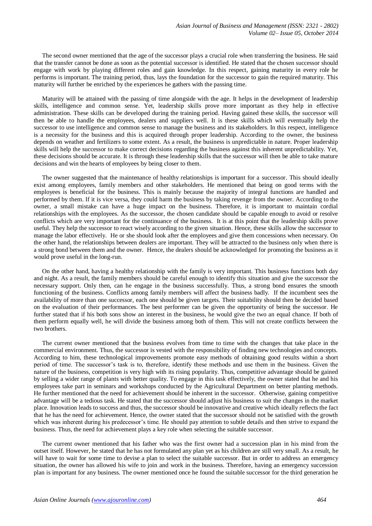The second owner mentioned that the age of the successor plays a crucial role when transferring the business. He said that the transfer cannot be done as soon as the potential successor is identified. He stated that the chosen successor should engage with work by playing different roles and gain knowledge. In this respect, gaining maturity in every role he performs is important. The training period, thus, lays the foundation for the successor to gain the required maturity. This maturity will further be enriched by the experiences he gathers with the passing time.

Maturity will be attained with the passing of time alongside with the age. It helps in the development of leadership skills, intelligence and common sense. Yet, leadership skills prove more important as they help in effective administration. These skills can be developed during the training period. Having gained these skills, the successor will then be able to handle the employees, dealers and suppliers well. It is these skills which will eventually help the successor to use intelligence and common sense to manage the business and its stakeholders. In this respect, intelligence is a necessity for the business and this is acquired through proper leadership. According to the owner, the business depends on weather and fertilizers to some extent. As a result, the business is unpredictable in nature. Proper leadership skills will help the successor to make correct decisions regarding the business against this inherent unpredictability. Yet, these decisions should be accurate. It is through these leadership skills that the successor will then be able to take mature decisions and win the hearts of employees by being closer to them.

The owner suggested that the maintenance of healthy relationships is important for a successor. This should ideally exist among employees, family members and other stakeholders. He mentioned that being on good terms with the employees is beneficial for the business. This is mainly because the majority of integral functions are handled and performed by them. If it is vice versa, they could harm the business by taking revenge from the owner. According to the owner, a small mistake can have a huge impact on the business. Therefore, it is important to maintain cordial relationships with the employees. As the successor, the chosen candidate should be capable enough to avoid or resolve conflicts which are very important for the continuance of the business. It is at this point that the leadership skills prove useful. They help the successor to react wisely according to the given situation. Hence, these skills allow the successor to manage the labor effectively. He or she should look after the employees and give them concessions when necessary. On the other hand, the relationships between dealers are important. They will be attracted to the business only when there is a strong bond between them and the owner. Hence, the dealers should be acknowledged for promoting the business as it would prove useful in the long-run.

On the other hand, having a healthy relationship with the family is very important. This business functions both day and night. As a result, the family members should be careful enough to identify this situation and give the successor the necessary support. Only then, can he engage in the business successfully. Thus, a strong bond ensures the smooth functioning of the business. Conflicts among family members will affect the business badly. If the incumbent sees the availability of more than one successor, each one should be given targets. Their suitability should then be decided based on the evaluation of their performances. The best performer can be given the opportunity of being the successor. He further stated that if his both sons show an interest in the business, he would give the two an equal chance. If both of them perform equally well, he will divide the business among both of them. This will not create conflicts between the two brothers.

The current owner mentioned that the business evolves from time to time with the changes that take place in the commercial environment. Thus, the successor is vested with the responsibility of finding new technologies and concepts. According to him, these technological improvements promote easy methods of obtaining good results within a short period of time. The successor's task is to, therefore, identify these methods and use them in the business. Given the nature of the business, competition is very high with its rising popularity. Thus, competitive advantage should be gained by selling a wider range of plants with better quality. To engage in this task effectively, the owner stated that he and his employees take part in seminars and workshops conducted by the Agricultural Department on better planting methods. He further mentioned that the need for achievement should be inherent in the successor. Otherwise, gaining competitive advantage will be a tedious task. He stated that the successor should adjust his business to suit the changes in the market place. Innovation leads to success and thus, the successor should be innovative and creative which ideally reflects the fact that he has the need for achievement. Hence, the owner stated that the successor should not be satisfied with the growth which was inherent during his predecessor's time. He should pay attention to subtle details and then strive to expand the business. Thus, the need for achievement plays a key role when selecting the suitable successor.

The current owner mentioned that his father who was the first owner had a succession plan in his mind from the outset itself. However, he stated that he has not formulated any plan yet as his children are still very small. As a result, he will have to wait for some time to devise a plan to select the suitable successor. But in order to address an emergency situation, the owner has allowed his wife to join and work in the business. Therefore, having an emergency succession plan is important for any business. The owner mentioned once he found the suitable successor for the third generation he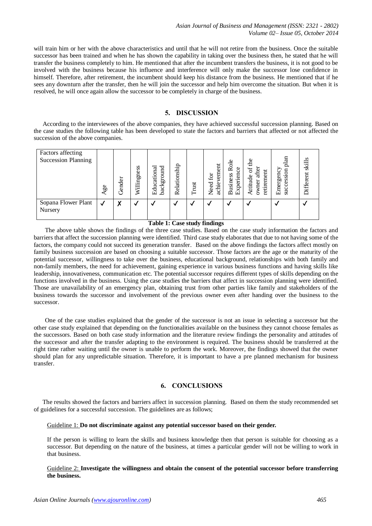will train him or her with the above characteristics and until that he will not retire from the business. Once the suitable successor has been trained and when he has shown the capability in taking over the business then, he stated that he will transfer the business completely to him. He mentioned that after the incumbent transfers the business, it is not good to be involved with the business because his influence and interference will only make the successor lose confidence in himself. Therefore, after retirement, the incumbent should keep his distance from the business. He mentioned that if he sees any downturn after the transfer, then he will join the successor and help him overcome the situation. But when it is resolved, he will once again allow the successor to be completely in charge of the business.

## **5. DISCUSSION**

According to the interviewees of the above companies, they have achieved successful succession planning. Based on the case studies the following table has been developed to state the factors and barriers that affected or not affected the succession of the above companies.

| Factors affecting<br><b>Succession Planning</b> | 9g           | Gender | s<br>S<br>gne:<br>Willin | background<br>Educational | Relationship | Trust | vement<br>Need for<br>achie | Role<br>8<br>Experien<br><b>Business</b> | $\frac{1}{10}$<br>ð<br>after<br>tirement<br>Attitude<br>wner<br>Ö | plan<br>Emergency<br>succession | skill<br>Different |
|-------------------------------------------------|--------------|--------|--------------------------|---------------------------|--------------|-------|-----------------------------|------------------------------------------|-------------------------------------------------------------------|---------------------------------|--------------------|
| Sopana Flower Plant<br>Nursery                  | $\checkmark$ | Х      |                          |                           |              |       |                             |                                          |                                                                   |                                 |                    |

## **Table 1: Case study findings**

The above table shows the findings of the three case studies. Based on the case study information the factors and barriers that affect the succession planning were identified. Third case study elaborates that due to not having some of the factors, the company could not succeed its generation transfer. Based on the above findings the factors affect mostly on family business succession are based on choosing a suitable successor. Those factors are the age or the maturity of the potential successor, willingness to take over the business, educational background, relationships with both family and non-family members, the need for achievement, gaining experience in various business functions and having skills like leadership, innovativeness, communication etc. The potential successor requires different types of skills depending on the functions involved in the business. Using the case studies the barriers that affect in succession planning were identified. Those are unavailability of an emergency plan, obtaining trust from other parties like family and stakeholders of the business towards the successor and involvement of the previous owner even after handing over the business to the successor.

One of the case studies explained that the gender of the successor is not an issue in selecting a successor but the other case study explained that depending on the functionalities available on the business they cannot choose females as the successors. Based on both case study information and the literature review findings the personality and attitudes of the successor and after the transfer adapting to the environment is required. The business should be transferred at the right time rather waiting until the owner is unable to perform the work. Moreover, the findings showed that the owner should plan for any unpredictable situation. Therefore, it is important to have a pre planned mechanism for business transfer.

## **6. CONCLUSIONS**

The results showed the factors and barriers affect in succession planning. Based on them the study recommended set of guidelines for a successful succession. The guidelines are as follows;

## Guideline 1: **Do not discriminate against any potential successor based on their gender.**

If the person is willing to learn the skills and business knowledge then that person is suitable for choosing as a successor. But depending on the nature of the business, at times a particular gender will not be willing to work in that business.

## Guideline 2: **Investigate the willingness and obtain the consent of the potential successor before transferring the business.**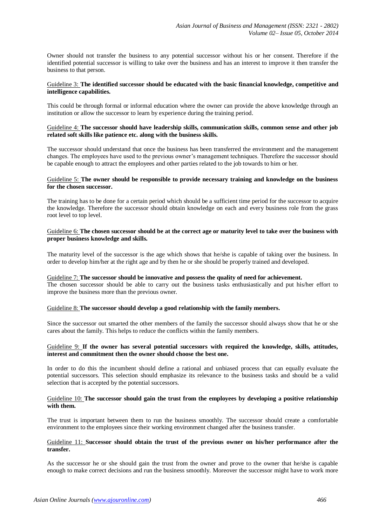Owner should not transfer the business to any potential successor without his or her consent. Therefore if the identified potential successor is willing to take over the business and has an interest to improve it then transfer the business to that person.

#### Guideline 3: **The identified successor should be educated with the basic financial knowledge, competitive and intelligence capabilities.**

This could be through formal or informal education where the owner can provide the above knowledge through an institution or allow the successor to learn by experience during the training period.

#### Guideline 4: **The successor should have leadership skills, communication skills, common sense and other job related soft skills like patience etc. along with the business skills.**

The successor should understand that once the business has been transferred the environment and the management changes. The employees have used to the previous owner's management techniques. Therefore the successor should be capable enough to attract the employees and other parties related to the job towards to him or her.

## Guideline 5: **The owner should be responsible to provide necessary training and knowledge on the business for the chosen successor.**

The training has to be done for a certain period which should be a sufficient time period for the successor to acquire the knowledge. Therefore the successor should obtain knowledge on each and every business role from the grass root level to top level.

## Guideline 6: **The chosen successor should be at the correct age or maturity level to take over the business with proper business knowledge and skills.**

The maturity level of the successor is the age which shows that he/she is capable of taking over the business. In order to develop him/her at the right age and by then he or she should be properly trained and developed.

#### Guideline 7: **The successor should be innovative and possess the quality of need for achievement.**

The chosen successor should be able to carry out the business tasks enthusiastically and put his/her effort to improve the business more than the previous owner.

## Guideline 8: **The successor should develop a good relationship with the family members.**

Since the successor out smarted the other members of the family the successor should always show that he or she cares about the family. This helps to reduce the conflicts within the family members.

## Guideline 9: **If the owner has several potential successors with required the knowledge, skills, attitudes, interest and commitment then the owner should choose the best one.**

In order to do this the incumbent should define a rational and unbiased process that can equally evaluate the potential successors. This selection should emphasize its relevance to the business tasks and should be a valid selection that is accepted by the potential successors.

#### Guideline 10: **The successor should gain the trust from the employees by developing a positive relationship with them.**

The trust is important between them to run the business smoothly. The successor should create a comfortable environment to the employees since their working environment changed after the business transfer.

#### Guideline 11: **Successor should obtain the trust of the previous owner on his/her performance after the transfer.**

As the successor he or she should gain the trust from the owner and prove to the owner that he/she is capable enough to make correct decisions and run the business smoothly. Moreover the successor might have to work more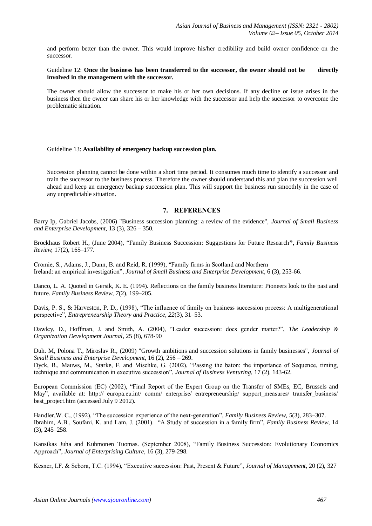and perform better than the owner. This would improve his/her credibility and build owner confidence on the successor.

## Guideline 12: **Once the business has been transferred to the successor, the owner should not be directly involved in the management with the successor.**

The owner should allow the successor to make his or her own decisions. If any decline or issue arises in the business then the owner can share his or her knowledge with the successor and help the successor to overcome the problematic situation.

#### Guideline 13: **Availability of emergency backup succession plan.**

Succession planning cannot be done within a short time period. It consumes much time to identify a successor and train the successor to the business process. Therefore the owner should understand this and plan the succession well ahead and keep an emergency backup succession plan. This will support the business run smoothly in the case of any unpredictable situation.

## **7. REFERENCES**

Barry Ip, Gabriel Jacobs, (2006) "Business succession planning: a review of the evidence", *Journal of Small Business and Enterprise Development*, 13 (3), 326 – 350.

Brockhaus Robert H., (June 2004), "Family Business Succession: Suggestions for Future Research**",** *Family Business Review,* 17(2), 165–177.

Cromie, S., Adams, J., Dunn, B. and Reid, R. (1999), "Family firms in Scotland and Northern Ireland: an empirical investigation", *Journal of Small Business and Enterprise Development*, 6 (3), 253-66.

Danco, L. A. Quoted in Gersik, K. E. (1994). Reflections on the family business literature: Pioneers look to the past and future. *Family Business Review*, *7*(2), 199–205.

Davis, P. S., & Harveston, P. D., (1998), "The influence of family on business succession process: A multigenerational perspective", *Entrepreneurship Theory and Practice*, *22*(3), 31–53.

Dawley, D., Hoffman, J. and Smith, A. (2004), "Leader succession: does gender matter?", *The Leadership & Organization Development Journal*, 25 (8), 678-90

Duh. M, Polona T., Miroslav R., (2009) "Growth ambitions and succession solutions in family businesses", *Journal of Small Business and Enterprise Development*, 16 (2), 256 – 269.

Dyck, B., Mauws, M., Starke, F. and Mischke, G. (2002), "Passing the baton: the importance of Sequence, timing, technique and communication in executive succession", *Journal of Business Venturing,* 17 (2), 143-62.

European Commission (EC) (2002), "Final Report of the Expert Group on the Transfer of SMEs, EC, Brussels and May", available at: http:// europa.eu.int/ comm/ enterprise/ entrepreneurship/ support\_measures/ transfer\_business/ best\_project.htm (accessed July 9 2012).

Handler,W. C., (1992), "The succession experience of the next-generation", *Family Business Review*, *5*(3), 283–307. Ibrahim, A.B., Soufani, K. and Lam, J. (2001). "A Study of succession in a family firm", *Family Business Review*, 14 (3), 245–258.

Kansikas Juha and Kuhmonen Tuomas. (September 2008), "Family Business Succession: Evolutionary Economics Approach", *Journal of Enterprising Culture*, 16 (3), 279-298.

Kesner, I.F. & Sebora, T.C. (1994), "Executive succession: Past, Present & Future", *Journal of Management*, 20 (2), 327